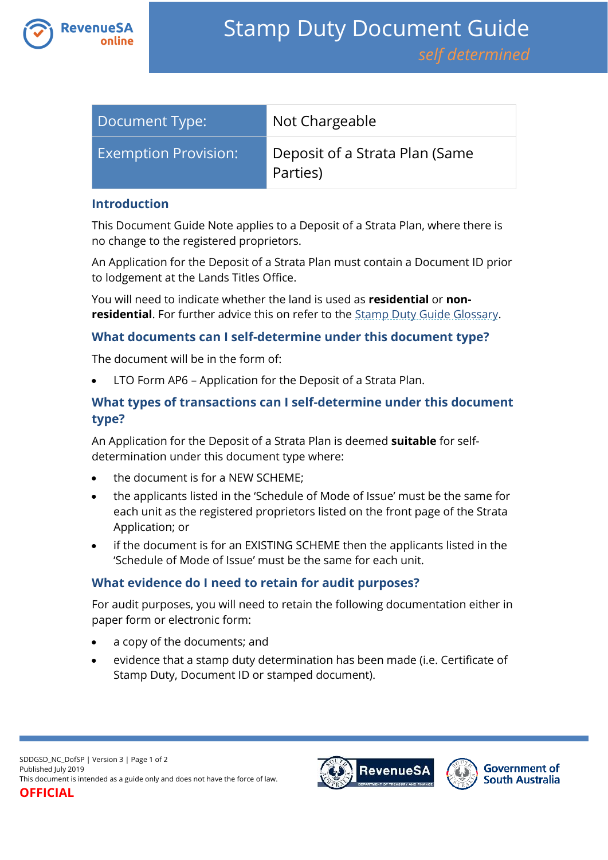

| Document Type:              | Not Chargeable                             |
|-----------------------------|--------------------------------------------|
| <b>Exemption Provision:</b> | Deposit of a Strata Plan (Same<br>Parties) |

#### **Introduction**

This Document Guide Note applies to a Deposit of a Strata Plan, where there is no change to the registered proprietors.

An Application for the Deposit of a Strata Plan must contain a Document ID prior to lodgement at the Lands Titles Office.

You will need to indicate whether the land is used as **residential** or **nonresidential**. For further advice this on refer to the [Stamp Duty Guide Glossary.](https://www.revenuesa.sa.gov.au/stampduty/stamp-duty-document-guide#Glossary)

## **What documents can I self-determine under this document type?**

The document will be in the form of:

LTO Form AP6 – Application for the Deposit of a Strata Plan.

# **What types of transactions can I self-determine under this document type?**

An Application for the Deposit of a Strata Plan is deemed **suitable** for selfdetermination under this document type where:

- the document is for a NEW SCHEME:
- the applicants listed in the 'Schedule of Mode of Issue' must be the same for each unit as the registered proprietors listed on the front page of the Strata Application; or
- if the document is for an EXISTING SCHEME then the applicants listed in the 'Schedule of Mode of Issue' must be the same for each unit.

# **What evidence do I need to retain for audit purposes?**

For audit purposes, you will need to retain the following documentation either in paper form or electronic form:

- a copy of the documents; and
- evidence that a stamp duty determination has been made (i.e. Certificate of Stamp Duty, Document ID or stamped document).